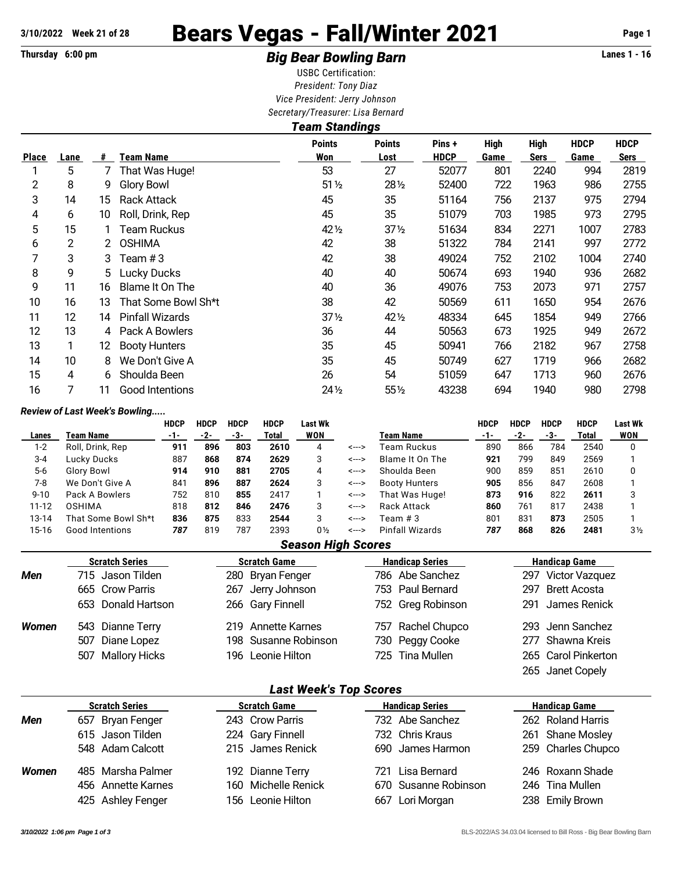# 3/10/2022 Week 21 of 28 **Bears Vegas - Fall/Winter 2021** Page 1

## Thursday 6:00 pm **Example 2 Constrained Big Bear Bowling Barn Example 2 Constrained Big Bear Bowling Barn**

USBC Certification: *President: Tony Diaz Vice President: Jerry Johnson Secretary/Treasurer: Lisa Bernard*

|              | <b>Team Standings</b> |    |                        |                      |                       |                       |                     |                            |                     |                            |  |  |  |
|--------------|-----------------------|----|------------------------|----------------------|-----------------------|-----------------------|---------------------|----------------------------|---------------------|----------------------------|--|--|--|
| <b>Place</b> | Lane                  | #  | Team Name              | <b>Points</b><br>Won | <b>Points</b><br>Lost | Pins +<br><b>HDCP</b> | <b>High</b><br>Game | <b>High</b><br><b>Sers</b> | <b>HDCP</b><br>Game | <b>HDCP</b><br><b>Sers</b> |  |  |  |
|              | 5                     | 7  | That Was Huge!         | 53                   | 27                    | 52077                 | 801                 | 2240                       | 994                 | 2819                       |  |  |  |
| 2            | 8                     | 9  | <b>Glory Bowl</b>      | $51\%$               | 281/2                 | 52400                 | 722                 | 1963                       | 986                 | 2755                       |  |  |  |
| 3            | 14                    | 15 | <b>Rack Attack</b>     | 45                   | 35                    | 51164                 | 756                 | 2137                       | 975                 | 2794                       |  |  |  |
| 4            | 6                     | 10 | Roll, Drink, Rep       | 45                   | 35                    | 51079                 | 703                 | 1985                       | 973                 | 2795                       |  |  |  |
| 5            | 15                    |    | Team Ruckus            | 42 1/2               | $37\frac{1}{2}$       | 51634                 | 834                 | 2271                       | 1007                | 2783                       |  |  |  |
| 6            | 2                     | 2  | <b>OSHIMA</b>          | 42                   | 38                    | 51322                 | 784                 | 2141                       | 997                 | 2772                       |  |  |  |
| 7            | 3                     | 3  | Team $#3$              | 42                   | 38                    | 49024                 | 752                 | 2102                       | 1004                | 2740                       |  |  |  |
| 8            | 9                     | 5. | Lucky Ducks            | 40                   | 40                    | 50674                 | 693                 | 1940                       | 936                 | 2682                       |  |  |  |
| 9            | 11                    | 16 | Blame It On The        | 40                   | 36                    | 49076                 | 753                 | 2073                       | 971                 | 2757                       |  |  |  |
| 10           | 16                    | 13 | That Some Bowl Sh*t    | 38                   | 42                    | 50569                 | 611                 | 1650                       | 954                 | 2676                       |  |  |  |
| 11           | 12                    | 14 | <b>Pinfall Wizards</b> | $37\frac{1}{2}$      | 42 1/2                | 48334                 | 645                 | 1854                       | 949                 | 2766                       |  |  |  |
| 12           | 13                    | 4  | Pack A Bowlers         | 36                   | 44                    | 50563                 | 673                 | 1925                       | 949                 | 2672                       |  |  |  |
| 13           | 1                     | 12 | <b>Booty Hunters</b>   | 35                   | 45                    | 50941                 | 766                 | 2182                       | 967                 | 2758                       |  |  |  |
| 14           | 10 <sup>°</sup>       | 8  | We Don't Give A        | 35                   | 45                    | 50749                 | 627                 | 1719                       | 966                 | 2682                       |  |  |  |
| 15           | 4                     | 6  | Shoulda Been           | 26                   | 54                    | 51059                 | 647                 | 1713                       | 960                 | 2676                       |  |  |  |
| 16           | 7                     | 11 | Good Intentions        | $24\frac{1}{2}$      | 55½                   | 43238                 | 694                 | 1940                       | 980                 | 2798                       |  |  |  |

#### *Review of Last Week's Bowling.....*

|          |                     | <b>HDCP</b> | <b>HDCP</b> | <b>HDCP</b> | <b>HDCP</b> | Last Wk        |       |                      | <b>HDCP</b>     | <b>HDCP</b> | <b>HDCP</b> | <b>HDCP</b> | <b>Last Wk</b> |
|----------|---------------------|-------------|-------------|-------------|-------------|----------------|-------|----------------------|-----------------|-------------|-------------|-------------|----------------|
| Lanes    | Team Name           | -1-         | -2-         | -3-         | Total       | <b>WON</b>     |       | Team Name            | -1-             | -2-         | -3-         | Total       | <b>WON</b>     |
| $1 - 2$  | Roll, Drink, Rep    | 911         | 896         | 803         | 2610        | 4              | <---> | Team Ruckus          | 890             | 866         | 784         | 2540        |                |
| $3 - 4$  | Lucky Ducks         | 887         | 868         | 874         | 2629        | 3              | <---> | Blame It On The      | 921             | 799         | 849         | 2569        |                |
| $5-6$    | Glory Bowl          | 914         | 910         | 881         | 2705        | 4              | <---> | Shoulda Been         | 900             | 859         | 851         | 2610        |                |
| 7-8      | We Don't Give A     | 841         | 896         | 887         | 2624        | 3              | <---> | <b>Booty Hunters</b> | 905             | 856         | 847         | 2608        |                |
| $9 - 10$ | Pack A Bowlers      | 752         | 810         | 855         | 2417        |                | <---> | That Was Huge!       | 873             | 916         | 822         | 2611        | っ              |
| 11-12    | OSHIMA              | 818         | 812         | 846         | 2476        | 3              | <---> | <b>Rack Attack</b>   | 860             | 761         | 817         | 2438        |                |
| 13-14    | That Some Bowl Sh*t | 836         | 875         | 833         | 2544        | 3              | <---> | Team # 3             | 80 <sup>2</sup> | 831         | 873         | 2505        |                |
| 15-16    | Good Intentions     | 787         | 819         | 787         | 2393        | 0 <sub>2</sub> | <---> | Pinfall Wizards      | 787             | 868         | 826         | 2481        | 3 <sub>2</sub> |

#### *Season High Scores*

|       | <b>Scratch Series</b> | <b>Scratch Game</b>  | <b>Handicap Series</b> | <b>Handicap Game</b> |  |  |  |  |
|-------|-----------------------|----------------------|------------------------|----------------------|--|--|--|--|
| Men   | 715 Jason Tilden      | 280 Bryan Fenger     | 786 Abe Sanchez        | 297 Victor Vazquez   |  |  |  |  |
|       | 665 Crow Parris       | 267 Jerry Johnson    | 753 Paul Bernard       | 297 Brett Acosta     |  |  |  |  |
|       | 653 Donald Hartson    | 266 Gary Finnell     | 752 Greg Robinson      | 291 James Renick     |  |  |  |  |
| Women | 543 Dianne Terry      | 219 Annette Karnes   | 757 Rachel Chupco      | 293 Jenn Sanchez     |  |  |  |  |
|       | 507 Diane Lopez       | 198 Susanne Robinson | 730 Peggy Cooke        | 277 Shawna Kreis     |  |  |  |  |
|       | 507 Mallory Hicks     | 196 Leonie Hilton    | 725 Tina Mullen        | 265 Carol Pinkerton  |  |  |  |  |
|       |                       |                      |                        | 265 Janet Copely     |  |  |  |  |

#### *Last Week's Top Scores*

|              | <b>Scratch Series</b> | <b>Scratch Game</b> | <b>Handicap Series</b> | <b>Handicap Game</b> |  |  |  |  |  |  |  |  |
|--------------|-----------------------|---------------------|------------------------|----------------------|--|--|--|--|--|--|--|--|
| <b>Men</b>   | 657 Bryan Fenger      | 243 Crow Parris     | 732 Abe Sanchez        | 262 Roland Harris    |  |  |  |  |  |  |  |  |
|              | 615 Jason Tilden      | 224 Gary Finnell    | 732 Chris Kraus        | 261 Shane Mosley     |  |  |  |  |  |  |  |  |
|              | 548 Adam Calcott      | 215 James Renick    | 690 James Harmon       | 259 Charles Chupco   |  |  |  |  |  |  |  |  |
| <b>Women</b> | 485 Marsha Palmer     | 192 Dianne Terry    | 721 Lisa Bernard       | 246 Roxann Shade     |  |  |  |  |  |  |  |  |
|              | 456 Annette Karnes    | 160 Michelle Renick | 670 Susanne Robinson   | 246 Tina Mullen      |  |  |  |  |  |  |  |  |
|              | 425 Ashley Fenger     | 156 Leonie Hilton   | 667 Lori Morgan        | 238 Emily Brown      |  |  |  |  |  |  |  |  |
|              |                       |                     |                        |                      |  |  |  |  |  |  |  |  |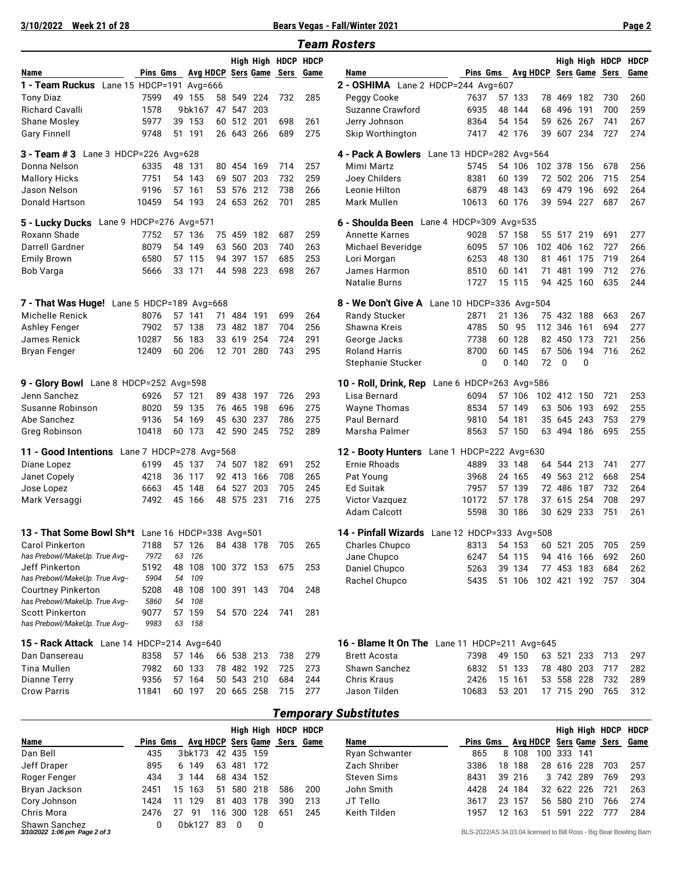**3/10/2022 Week 21 of 28 Bears Vegas - Fall/Winter 2021 Page 2**

|--|--|--|--|

|                                                   |                                       |    |        |    |            |             |     |                     | <b>Team Rosters</b>                           |                          |   |        |    |             |             |                |             |
|---------------------------------------------------|---------------------------------------|----|--------|----|------------|-------------|-----|---------------------|-----------------------------------------------|--------------------------|---|--------|----|-------------|-------------|----------------|-------------|
|                                                   |                                       |    |        |    |            |             |     | High High HDCP HDCP |                                               |                          |   |        |    |             |             | High High HDCP | <b>HDCP</b> |
| Name                                              | Pins Gms Avg HDCP Sers Game Sers Game |    |        |    |            |             |     |                     | Name                                          | Pins Gms Avg HDCP        |   |        |    |             |             | Sers Game Sers | Game        |
| 1 - Team Ruckus Lane 15 HDCP=191 Avg=666          |                                       |    |        |    |            |             |     |                     | 2 - OSHIMA Lane 2 HDCP=244 Avg=607            |                          |   |        |    |             |             |                |             |
| <b>Tony Diaz</b>                                  | 7599                                  |    | 49 155 | 58 | 549        | 224         | 732 | 285                 | Peggy Cooke                                   | 7637                     |   | 57 133 |    | 78 469 182  |             | 730            | 260         |
| <b>Richard Cavalli</b>                            | 1578                                  |    | 9bk167 |    | 47 547     | 203         |     |                     | Suzanne Crawford                              | 6935                     |   | 48 144 |    | 68 496 191  |             | 700            | 259         |
| <b>Shane Mosley</b>                               | 5977                                  |    | 39 153 |    | 60 512     | 201         | 698 | 261                 | Jerry Johnson                                 | 8364                     |   | 54 154 |    | 59 626 267  |             | 741            | 267         |
| <b>Gary Finnell</b>                               | 9748                                  |    | 51 191 |    |            | 26 643 266  | 689 | 275                 | Skip Worthington                              | 7417                     |   | 42 176 |    | 39 607 234  |             | 727            | 274         |
| <b>3 - Team # 3</b> Lane 3 HDCP=226 Avg=628       |                                       |    |        |    |            |             |     |                     | 4 - Pack A Bowlers                            | Lane 13 HDCP=282 Avg=564 |   |        |    |             |             |                |             |
| Donna Nelson                                      | 6335                                  |    | 48 131 |    | 80 454     | 169         | 714 | 257                 | Mimi Martz                                    | 5745                     |   | 54 106 |    | 102 378 156 |             | 678            | 256         |
| <b>Mallory Hicks</b>                              | 7751                                  |    | 54 143 |    | 69 507 203 |             | 732 | 259                 | Joey Childers                                 | 8381                     |   | 60 139 |    | 72 502 206  |             | 715            | 254         |
| Jason Nelson                                      | 9196                                  |    | 57 161 | 53 | 576        | 212         | 738 | 266                 | Leonie Hilton                                 | 6879                     |   | 48 143 |    | 69 479 196  |             | 692            | 264         |
| Donald Hartson                                    | 10459                                 |    | 54 193 |    |            | 24 653 262  | 701 | 285                 | Mark Mullen                                   | 10613                    |   | 60 176 |    | 39 594 227  |             | 687            | 267         |
|                                                   |                                       |    |        |    |            |             |     |                     |                                               |                          |   |        |    |             |             |                |             |
| Lane 9 HDCP=276 Avg=571<br>5 - Lucky Ducks        |                                       |    |        |    |            |             |     |                     | 6 - Shoulda Been Lane 4 HDCP=309 Avg=535      |                          |   |        |    |             |             |                |             |
| Roxann Shade                                      | 7752                                  |    | 57 136 |    |            | 75 459 182  | 687 | 259                 | Annette Karnes                                | 9028                     |   | 57 158 |    | 55 517 219  |             | 691            | 277         |
| Darrell Gardner                                   | 8079                                  |    | 54 149 |    | 63 560     | 203         | 740 | 263                 | Michael Beveridge                             | 6095                     |   | 57 106 |    | 102 406 162 |             | 727            | 266         |
| <b>Emily Brown</b>                                | 6580                                  |    | 57 115 |    | 94 397 157 |             | 685 | 253                 | Lori Morgan                                   | 6253                     |   | 48 130 |    | 81 461 175  |             | 719            | 264         |
| Bob Varga                                         | 5666                                  |    | 33 171 |    | 44 598 223 |             | 698 | 267                 | James Harmon                                  | 8510                     |   | 60 141 |    | 71 481      | 199         | 712            | 276         |
|                                                   |                                       |    |        |    |            |             |     |                     | Natalie Burns                                 | 1727                     |   | 15 115 |    | 94 425 160  |             | 635            | 244         |
| 7 - That Was Huge! Lane 5 HDCP=189 Avg=668        |                                       |    |        |    |            |             |     |                     | 8 - We Don't Give A Lane 10 HDCP=336 Avg=504  |                          |   |        |    |             |             |                |             |
| Michelle Renick                                   | 8076                                  |    | 57 141 |    | 71 484 191 |             | 699 | 264                 | Randy Stucker                                 | 2871                     |   | 21 136 |    | 75 432 188  |             | 663            | 267         |
| <b>Ashley Fenger</b>                              | 7902                                  |    | 57 138 |    | 73 482     | 187         | 704 | 256                 | Shawna Kreis                                  | 4785                     |   | 50 95  |    | 112 346 161 |             | 694            | 277         |
| James Renick                                      | 10287                                 |    | 56 183 |    | 33 619     | 254         | 724 | 291                 | George Jacks                                  | 7738                     |   | 60 128 |    | 82 450 173  |             | 721            | 256         |
| <b>Bryan Fenger</b>                               | 12409                                 |    | 60 206 |    | 12 701     | 280         | 743 | 295                 | <b>Roland Harris</b>                          | 8700                     |   | 60 145 | 67 |             | 506 194     | 716            | 262         |
|                                                   |                                       |    |        |    |            |             |     |                     | Stephanie Stucker                             | 0                        | 0 | 140    | 72 | 0           | $\Omega$    |                |             |
| 9 - Glory Bowl Lane 8 HDCP=252 Avg=598            |                                       |    |        |    |            |             |     |                     | 10 - Roll, Drink, Rep Lane 6 HDCP=263 Avg=586 |                          |   |        |    |             |             |                |             |
| Jenn Sanchez                                      | 6926                                  |    | 57 121 |    | 89 438     | 197         | 726 | 293                 | Lisa Bernard                                  | 6094                     |   | 57 106 |    | 102 412 150 |             | 721            | 253         |
| Susanne Robinson                                  | 8020                                  |    | 59 135 |    | 76 465     | 198         | 696 | 275                 | <b>Wayne Thomas</b>                           | 8534                     |   | 57 149 |    | 63 506 193  |             | 692            | 255         |
| Abe Sanchez                                       | 9136                                  |    | 54 169 |    | 45 630     | 237         | 786 | 275                 | Paul Bernard                                  | 9810                     |   | 54 181 |    | 35 645 243  |             | 753            | 279         |
| Greg Robinson                                     | 10418                                 |    | 60 173 |    |            | 42 590 245  | 752 | 289                 | Marsha Palmer                                 | 8563                     |   | 57 150 |    | 63 494 186  |             | 695            | 255         |
| 11 - Good Intentions Lane 7 HDCP=278 Avg=568      |                                       |    |        |    |            |             |     |                     | 12 - Booty Hunters Lane 1 HDCP=222 Avg=630    |                          |   |        |    |             |             |                |             |
| Diane Lopez                                       | 6199                                  |    | 45 137 |    |            | 74 507 182  | 691 | 252                 | Ernie Rhoads                                  | 4889                     |   | 33 148 |    | 64 544 213  |             | 741            | 277         |
| Janet Copely                                      | 4218                                  |    | 36 117 |    | 92 413     | 166         | 708 | 265                 | Pat Young                                     | 3968                     |   | 24 165 |    | 49 563 212  |             | 668            | 254         |
| Jose Lopez                                        | 6663                                  | 45 | 148    |    | 64 527     | 203         | 705 | 245                 | Ed Suitak                                     | 7957                     |   | 57 139 |    | 72 486 187  |             | 732            | 264         |
| Mark Versaggi                                     | 7492                                  | 45 | 166    |    | 48 575     | 231         | 716 | 275                 | Victor Vazquez                                | 10172                    |   | 57 178 |    | 37 615 254  |             | 708            | 297         |
|                                                   |                                       |    |        |    |            |             |     |                     | <b>Adam Calcott</b>                           | 5598                     |   | 30 186 |    | 30 629 233  |             | 751            | 261         |
| 13 - That Some Bowl Sh*t Lane 16 HDCP=338 Avg=501 |                                       |    |        |    |            |             |     |                     | 14 - Pinfall Wizards Lane 12 HDCP=333 Avg=508 |                          |   |        |    |             |             |                |             |
| Carol Pinkerton                                   | 7188                                  |    | 57 126 |    |            | 84 438 178  | 705 | 265                 | Charles Chupco                                | 8313                     |   | 54 153 |    | 60 521 205  |             | 705            | 259         |
| has Prebowl/MakeUp. True Avg--                    | 7972                                  | 63 | 126    |    |            |             |     |                     | Jane Chupco                                   | 6247                     |   | 54 115 |    | 94 416 166  |             | 692            | 260         |
| Jeff Pinkerton                                    | 5192                                  |    | 48 108 |    |            | 100 372 153 | 675 | 253                 | Daniel Chupco                                 | 5263                     |   | 39 134 |    |             | 77 453 183  | 684            | 262         |
| has Prebowl/MakeUp. True Avg--                    | 5904                                  |    | 54 109 |    |            |             |     |                     | Rachel Chupco                                 | 5435                     |   | 51 106 |    |             | 102 421 192 | 757            | 304         |
| <b>Courtney Pinkerton</b>                         | 5208                                  |    | 48 108 |    |            | 100 391 143 | 704 | 248                 |                                               |                          |   |        |    |             |             |                |             |
| has Prebowl/MakeUp. True Avg--                    | 5860                                  |    | 54 108 |    |            |             |     |                     |                                               |                          |   |        |    |             |             |                |             |
| <b>Scott Pinkerton</b>                            | 9077                                  |    | 57 159 |    |            | 54 570 224  | 741 | 281                 |                                               |                          |   |        |    |             |             |                |             |
| has Prebowl/MakeUp. True Avg--                    | 9983                                  |    | 63 158 |    |            |             |     |                     |                                               |                          |   |        |    |             |             |                |             |
| 15 - Rack Attack Lane 14 HDCP=214 Avg=640         |                                       |    |        |    |            |             |     |                     | 16 - Blame It On The Lane 11 HDCP=211 Avg=645 |                          |   |        |    |             |             |                |             |
| Dan Dansereau                                     | 8358                                  |    | 57 146 |    |            | 66 538 213  | 738 | 279                 | Brett Acosta                                  | 7398                     |   | 49 150 |    | 63 521 233  |             | 713            | 297         |
| Tina Mullen                                       | 7982                                  |    | 60 133 |    |            | 78 482 192  | 725 | 273                 | Shawn Sanchez                                 | 6832                     |   | 51 133 |    | 78 480 203  |             | 717            | 282         |
| <b>Dianne Terry</b>                               | 9356                                  |    | 57 164 |    |            | 50 543 210  | 684 | 244                 | Chris Kraus                                   | 2426                     |   | 15 161 |    | 53 558 228  |             | 732            | 289         |
| <b>Crow Parris</b>                                | 11841                                 |    | 60 197 |    |            | 20 665 258  | 715 | 277                 | Jason Tilden                                  | 10683                    |   | 53 201 |    |             | 17 715 290  | 765            | 312         |
|                                                   |                                       |    |        |    |            |             |     |                     |                                               |                          |   |        |    |             |             |                |             |

### *Temporary Substitutes*

|                                                |          |    |        |     |     |     | High High HDCP HDCP     |      |                |          |    |        |          |        |     | High High HDCP                                                    | <b>HDCP</b> |
|------------------------------------------------|----------|----|--------|-----|-----|-----|-------------------------|------|----------------|----------|----|--------|----------|--------|-----|-------------------------------------------------------------------|-------------|
| Name                                           | Pins Gms |    |        |     |     |     | Avg HDCP Sers Game Sers | Game | Name           | Pins Gms |    |        | Ava HDCP |        |     | Sers Game Sers                                                    | Game        |
| Dan Bell                                       | 435      |    | 3bk173 | 42  | 435 | 159 |                         |      | Ryan Schwanter | 865      |    | 8 108  | 100      | 333    | 141 |                                                                   |             |
| Jeff Draper                                    | 895      |    | 6 149  | 63  | 481 | 172 |                         |      | Zach Shriber   | 3386     | 18 | 188    |          | 28 616 | 228 | 703                                                               | 257         |
| Roger Fenger                                   | 434      |    | 3 144  | 68  | 434 | 152 |                         |      | Steven Sims    | 8431     |    | 39 216 |          | 3 742  | 289 | 769                                                               | 293         |
| Bryan Jackson                                  | 2451     | 15 | 163    | 51  | 580 | 218 | 586                     | 200  | John Smith     | 4428     | 24 | 184    |          | 32 622 | 226 | 721                                                               | 263         |
| Cory Johnson                                   | 1424     |    | 129    | 81  | 403 | 178 | 390                     | 213  | JT Tello       | 3617     |    | 23 157 |          | 56 580 | 210 | 766                                                               | 274         |
| Chris Mora                                     | 2476     | 27 | -91    | 116 | 300 | 128 | 651                     | 245  | Keith Tilden   | 1957     |    | 12 163 | 51       | 591    | 222 | 777                                                               | 284         |
| Shawn Sanchez<br>3/10/2022 1:06 pm Page 2 of 3 |          |    | 0bk127 | -83 |     | 0   |                         |      |                |          |    |        |          |        |     | BLS-2022/AS 34.03.04 licensed to Bill Ross - Big Bear Bowling Bar |             |